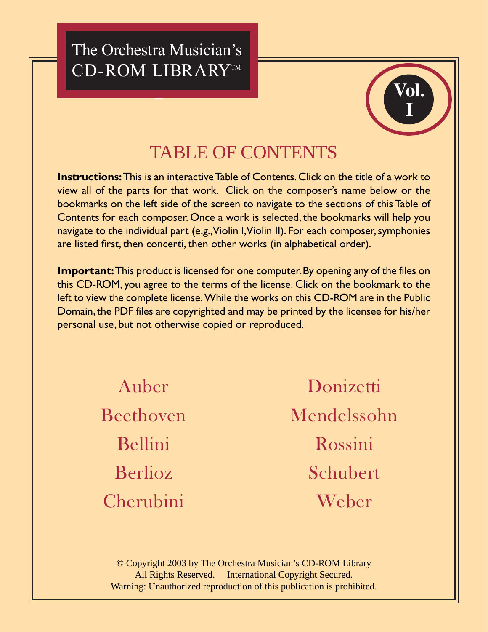**-** --  CD-ROM LIBRARY™



## TABLE OF CONTENTS

**Instructions:** This is an interactive Table of Contents. Click on the title of a work to view all of the parts for that work. Click on the composer's name below or the bookmarks on the left side of the screen to navigate to the sections of this Table of Contents for each composer. Once a work is selected, the bookmarks will help you navigate to the individual part (e.g., Violin I, Violin II). For each composer, symphonies are listed first, then concerti, then other works (in alphabetical order).

**Important:** This product is licensed for one computer. By opening any of the files on this CD-ROM, you agree to the terms of the license. Click on the bookmark to the left to view the complete license. While the works on this CD-ROM are in the Public Domain, the PDF files are copyrighted and may be printed by the licensee for his/her personal use, but not otherwise copied or reproduced.

> [Auber](#page-1-0) [Beethoven](#page-1-0) [Bellini](#page-2-0) [Berlioz](#page-3-0) [Cherubini](#page-3-0)

[Donizetti](#page-3-0) [Mendelssohn](#page-4-0) [Rossini](#page-4-0) [Schubert](#page-5-0) [Weber](#page-5-0)

© Copyright 2003 by The Orchestra Musician's CD-ROM Library All Rights Reserved. International Copyright Secured. Warning: Unauthorized reproduction of this publication is prohibited.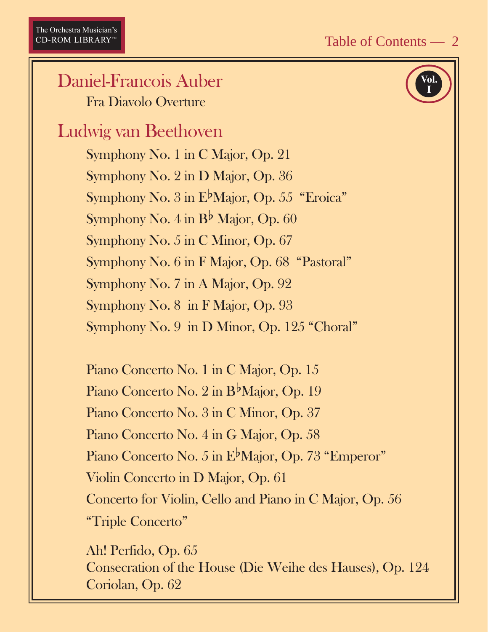#### <span id="page-1-0"></span>Daniel-Francois Auber Fra Diavolo Overture

## Ludwig van Beethoven

Symphony No. 1 in C Major, Op. 21 Symphony No. 2 in D Major, Op. 36 Symphony No. 3 in  $E^{\flat}$ Major, Op. 55 "Eroica" Symphony No. 4 in  $B^{\flat}$  Major, Op. 60 Symphony No. 5 in C Minor, Op. 67 Symphony No. 6 in F Major, Op. 68 "Pastoral" Symphony No. 7 in A Major, Op. 92 Symphony No. 8 in F Major, Op. 93 Symphony No. 9 in D Minor, Op. 125 "Choral"

Piano Concerto No. 1 in C Major, Op. 15 Piano Concerto No. 2 in B<sup>b</sup>Major, Op. 19 Piano Concerto No. 3 in C Minor, Op. 37 Piano Concerto No. 4 in G Major, Op. 58 Piano Concerto No. 5 in E<sup>b</sup>Major, Op. 73 "Emperor" Violin Concerto in D Major, Op. 61 Concerto for Violin, Cello and Piano in C Major, Op. 56 "Triple Concerto"

Ah! Perfido, Op. 65 Consecration of the House (Die Weihe des Hauses), Op. 124 Coriolan, Op. 62

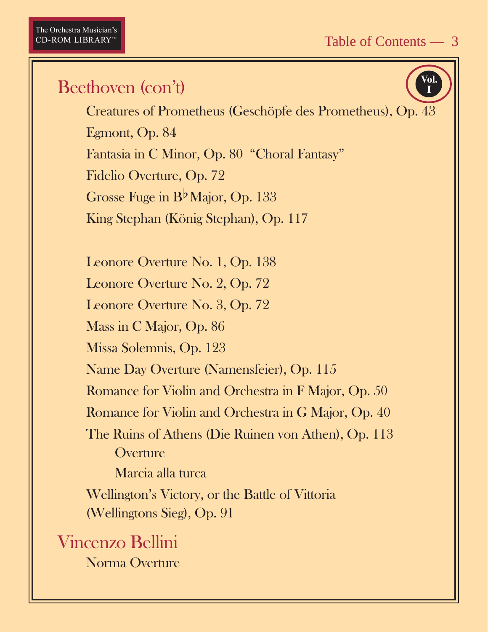**Vol. I**

### <span id="page-2-0"></span>Beethoven (con't)

Creatures of Prometheus (Geschöpfe des Prometheus), Op. 43 Egmont, Op. 84 Fantasia in C Minor, Op. 80 "Choral Fantasy" Fidelio Overture, Op. 72 Grosse Fuge in B<sup>b</sup> Major, Op. 133 King Stephan (König Stephan), Op. 117

Leonore Overture No. 1, Op. 138 Leonore Overture No. 2, Op. 72 Leonore Overture No. 3, Op. 72 Mass in C Major, Op. 86 Missa Solemnis, Op. 123 Name Day Overture (Namensfeier), Op. 115 Romance for Violin and Orchestra in F Major, Op. 50 Romance for Violin and Orchestra in G Major, Op. 40 The Ruins of Athens (Die Ruinen von Athen), Op. 113 **Overture** Marcia alla turca Wellington's Victory, or the Battle of Vittoria (Wellingtons Sieg), Op. 91

Vincenzo Bellini Norma Overture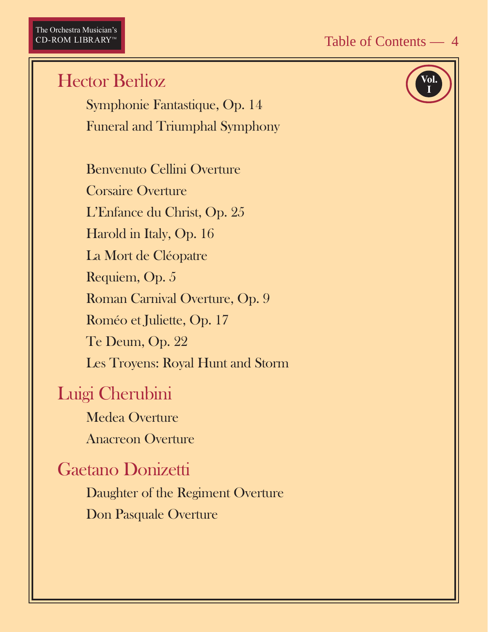<span id="page-3-0"></span>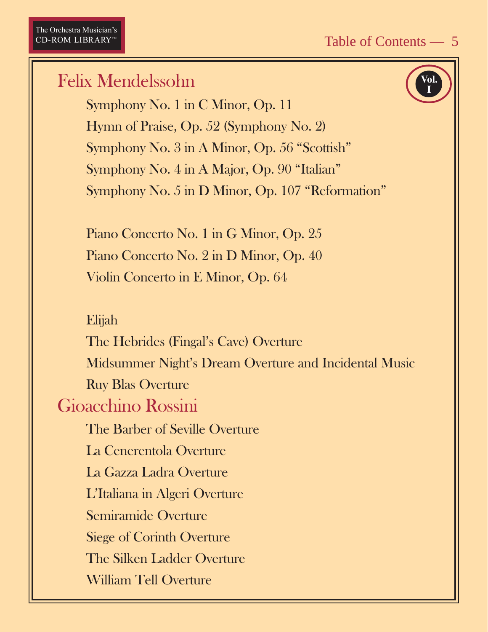**Vol. I**

# <span id="page-4-0"></span>Felix Mendelssohn Symphony No. 1 in C Minor, Op. 11 Hymn of Praise, Op. 52 (Symphony No. 2) Symphony No. 3 in A Minor, Op. 56 "Scottish" Symphony No. 4 in A Major, Op. 90 "Italian" Symphony No. 5 in D Minor, Op. 107 "Reformation" Piano Concerto No. 1 in G Minor, Op. 25 Piano Concerto No. 2 in D Minor, Op. 40 Violin Concerto in E Minor, Op. 64 Elijah The Hebrides (Fingal's Cave) Overture Midsummer Night's Dream Overture and Incidental Music Ruy Blas Overture Gioacchino Rossini The Barber of Seville Overture La Cenerentola Overture La Gazza Ladra Overture L'Italiana in Algeri Overture Semiramide Overture Siege of Corinth Overture The Silken Ladder Overture William Tell Overture